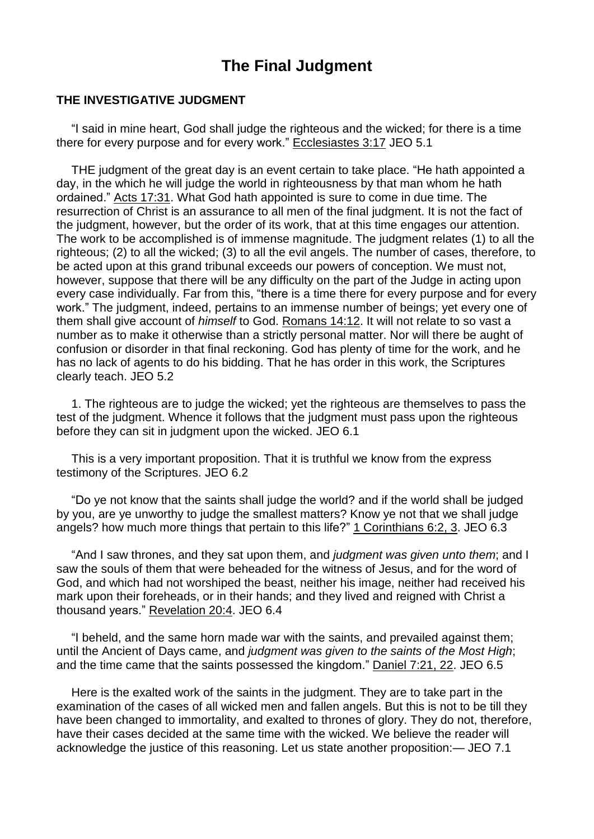## **The Final Judgment**

## **THE INVESTIGATIVE JUDGMENT**

"I said in mine heart, God shall judge the righteous and the wicked; for there is a time there for every purpose and for every work." [Ecclesiastes](https://m.egwwritings.org/en/book/1965.35438#35438) 3:17 JEO 5.1

THE judgment of the great day is an event certain to take place. "He hath appointed a day, in the which he will judge the world in righteousness by that man whom he hath ordained." Acts [17:31.](https://m.egwwritings.org/en/book/1965.56190#56190) What God hath appointed is sure to come in due time. The resurrection of Christ is an assurance to all men of the final judgment. It is not the fact of the judgment, however, but the order of its work, that at this time engages our attention. The work to be accomplished is of immense magnitude. The judgment relates (1) to all the righteous; (2) to all the wicked; (3) to all the evil angels. The number of cases, therefore, to be acted upon at this grand tribunal exceeds our powers of conception. We must not, however, suppose that there will be any difficulty on the part of the Judge in acting upon every case individually. Far from this, "there is a time there for every purpose and for every work." The judgment, indeed, pertains to an immense number of beings; yet every one of them shall give account of *himself* to God. [Romans](https://m.egwwritings.org/en/book/1965.57692#57692) 14:12. It will not relate to so vast a number as to make it otherwise than a strictly personal matter. Nor will there be aught of confusion or disorder in that final reckoning. God has plenty of time for the work, and he has no lack of agents to do his bidding. That he has order in this work, the Scriptures clearly teach. JEO 5.2

1. The righteous are to judge the wicked; yet the righteous are themselves to pass the test of the judgment. Whence it follows that the judgment must pass upon the righteous before they can sit in judgment upon the wicked. JEO 6.1

This is a very important proposition. That it is truthful we know from the express testimony of the Scriptures. JEO 6.2

"Do ye not know that the saints shall judge the world? and if the world shall be judged by you, are ye unworthy to judge the smallest matters? Know ye not that we shall judge angels? how much more things that pertain to this life?" 1 [Corinthians](https://m.egwwritings.org/en/book/1965.58055#58055) 6:2, 3. JEO 6.3

"And I saw thrones, and they sat upon them, and *judgment was given unto them*; and I saw the souls of them that were beheaded for the witness of Jesus, and for the word of God, and which had not worshiped the beast, neither his image, neither had received his mark upon their foreheads, or in their hands; and they lived and reigned with Christ a thousand years." [Revelation](https://m.egwwritings.org/en/book/1965.63340#63340) 20:4. JEO 6.4

"I beheld, and the same horn made war with the saints, and prevailed against them; until the Ancient of Days came, and *judgment was given to the saints of the Most High*; and the time came that the saints possessed the kingdom." [Daniel](https://m.egwwritings.org/en/book/1965.44795#44795) 7:21, 22. JEO 6.5

Here is the exalted work of the saints in the judgment. They are to take part in the examination of the cases of all wicked men and fallen angels. But this is not to be till they have been changed to immortality, and exalted to thrones of glory. They do not, therefore, have their cases decided at the same time with the wicked. We believe the reader will acknowledge the justice of this reasoning. Let us state another proposition:— JEO 7.1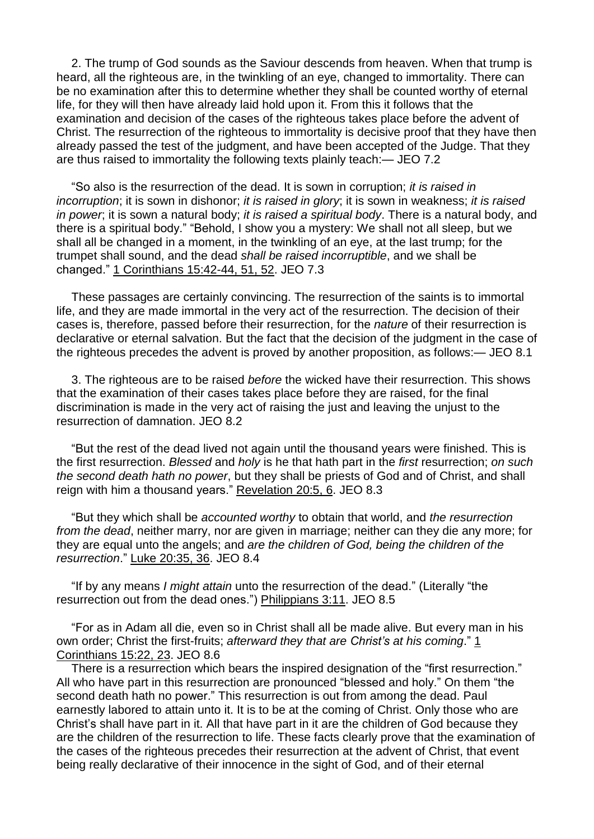2. The trump of God sounds as the Saviour descends from heaven. When that trump is heard, all the righteous are, in the twinkling of an eye, changed to immortality. There can be no examination after this to determine whether they shall be counted worthy of eternal life, for they will then have already laid hold upon it. From this it follows that the examination and decision of the cases of the righteous takes place before the advent of Christ. The resurrection of the righteous to immortality is decisive proof that they have then already passed the test of the judgment, and have been accepted of the Judge. That they are thus raised to immortality the following texts plainly teach:— JEO 7.2

"So also is the resurrection of the dead. It is sown in corruption; *it is raised in incorruption*; it is sown in dishonor; *it is raised in glory*; it is sown in weakness; *it is raised in power*; it is sown a natural body; *it is raised a spiritual body*. There is a natural body, and there is a spiritual body." "Behold, I show you a mystery: We shall not all sleep, but we shall all be changed in a moment, in the twinkling of an eye, at the last trump; for the trumpet shall sound, and the dead *shall be raised incorruptible*, and we shall be changed." 1 [Corinthians](https://m.egwwritings.org/en/book/1965.58646#58646) 15:42-44, 51, 52. JEO 7.3

These passages are certainly convincing. The resurrection of the saints is to immortal life, and they are made immortal in the very act of the resurrection. The decision of their cases is, therefore, passed before their resurrection, for the *nature* of their resurrection is declarative or eternal salvation. But the fact that the decision of the judgment in the case of the righteous precedes the advent is proved by another proposition, as follows:— JEO 8.1

3. The righteous are to be raised *before* the wicked have their resurrection. This shows that the examination of their cases takes place before they are raised, for the final discrimination is made in the very act of raising the just and leaving the unjust to the resurrection of damnation. JEO 8.2

"But the rest of the dead lived not again until the thousand years were finished. This is the first resurrection. *Blessed* and *holy* is he that hath part in the *first* resurrection; *on such the second death hath no power*, but they shall be priests of God and of Christ, and shall reign with him a thousand years." [Revelation](https://m.egwwritings.org/en/book/1965.63342#63342) 20:5, 6. JEO 8.3

"But they which shall be *accounted worthy* to obtain that world, and *the resurrection from the dead*, neither marry, nor are given in marriage; neither can they die any more; for they are equal unto the angels; and *are the children of God, being the children of the resurrection*." Luke [20:35,](https://m.egwwritings.org/en/book/1965.52666#52666) 36. JEO 8.4

"If by any means *I might attain* unto the resurrection of the dead." (Literally "the resurrection out from the dead ones.") [Philippians](https://m.egwwritings.org/en/book/1965.60023#60023) 3:11. JEO 8.5

"For as in Adam all die, even so in Christ shall all be made alive. But every man in his own order; Christ the first-fruits; *afterward they that are Christ's at his coming*." [1](https://m.egwwritings.org/en/book/1965.58606#58606) [Corinthians](https://m.egwwritings.org/en/book/1965.58606#58606) 15:22, 23. JEO 8.6

There is a resurrection which bears the inspired designation of the "first resurrection." All who have part in this resurrection are pronounced "blessed and holy." On them "the second death hath no power." This resurrection is out from among the dead. Paul earnestly labored to attain unto it. It is to be at the coming of Christ. Only those who are Christ's shall have part in it. All that have part in it are the children of God because they are the children of the resurrection to life. These facts clearly prove that the examination of the cases of the righteous precedes their resurrection at the advent of Christ, that event being really declarative of their innocence in the sight of God, and of their eternal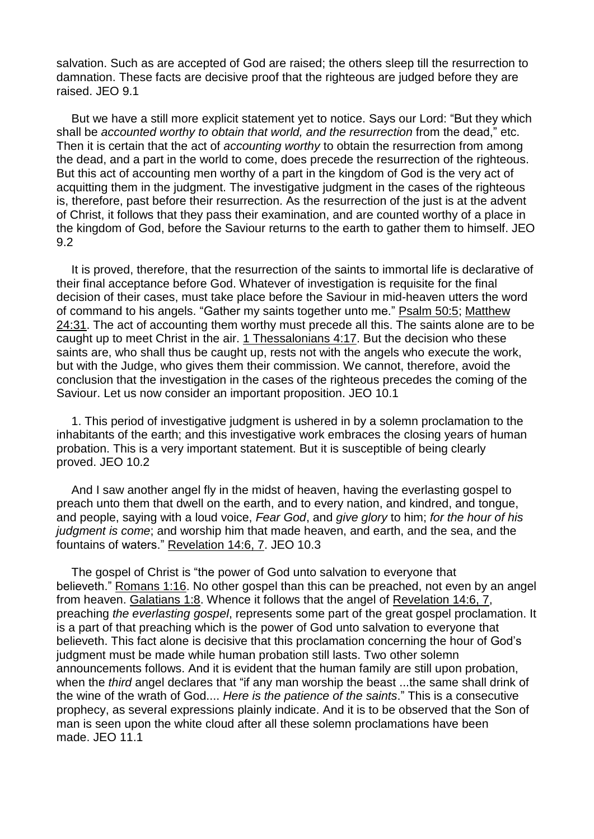salvation. Such as are accepted of God are raised; the others sleep till the resurrection to damnation. These facts are decisive proof that the righteous are judged before they are raised. JEO 9.1

But we have a still more explicit statement yet to notice. Says our Lord: "But they which shall be *accounted worthy to obtain that world, and the resurrection* from the dead," etc. Then it is certain that the act of *accounting worthy* to obtain the resurrection from among the dead, and a part in the world to come, does precede the resurrection of the righteous. But this act of accounting men worthy of a part in the kingdom of God is the very act of acquitting them in the judgment. The investigative judgment in the cases of the righteous is, therefore, past before their resurrection. As the resurrection of the just is at the advent of Christ, it follows that they pass their examination, and are counted worthy of a place in the kingdom of God, before the Saviour returns to the earth to gather them to himself. JEO 9.2

It is proved, therefore, that the resurrection of the saints to immortal life is declarative of their final acceptance before God. Whatever of investigation is requisite for the final decision of their cases, must take place before the Saviour in mid-heaven utters the word of command to his angels. "Gather my saints together unto me." [Psalm](https://m.egwwritings.org/en/book/1965.29896#29896) 50:5; [Matthew](https://m.egwwritings.org/en/book/1965.48972#48972) [24:31.](https://m.egwwritings.org/en/book/1965.48972#48972) The act of accounting them worthy must precede all this. The saints alone are to be caught up to meet Christ in the air. 1 [Thessalonians](https://m.egwwritings.org/en/book/1965.60410#60410) 4:17. But the decision who these saints are, who shall thus be caught up, rests not with the angels who execute the work, but with the Judge, who gives them their commission. We cannot, therefore, avoid the conclusion that the investigation in the cases of the righteous precedes the coming of the Saviour. Let us now consider an important proposition. JEO 10.1

1. This period of investigative judgment is ushered in by a solemn proclamation to the inhabitants of the earth; and this investigative work embraces the closing years of human probation. This is a very important statement. But it is susceptible of being clearly proved. JEO 10.2

And I saw another angel fly in the midst of heaven, having the everlasting gospel to preach unto them that dwell on the earth, and to every nation, and kindred, and tongue, and people, saying with a loud voice, *Fear God*, and *give glory* to him; *for the hour of his judgment is come*; and worship him that made heaven, and earth, and the sea, and the fountains of waters." [Revelation](https://m.egwwritings.org/en/book/1965.63114#63114) 14:6, 7. JEO 10.3

The gospel of Christ is "the power of God unto salvation to everyone that believeth." [Romans](https://m.egwwritings.org/en/book/1965.56987#56987) 1:16. No other gospel than this can be preached, not even by an angel from heaven. [Galatians](https://m.egwwritings.org/en/book/1965.59273#59273) 1:8. Whence it follows that the angel of [Revelation](https://m.egwwritings.org/en/book/1965.63114#63114) 14:6, 7, preaching *the everlasting gospel*, represents some part of the great gospel proclamation. It is a part of that preaching which is the power of God unto salvation to everyone that believeth. This fact alone is decisive that this proclamation concerning the hour of God's judgment must be made while human probation still lasts. Two other solemn announcements follows. And it is evident that the human family are still upon probation, when the *third* angel declares that "if any man worship the beast ...the same shall drink of the wine of the wrath of God.... *Here is the patience of the saints*." This is a consecutive prophecy, as several expressions plainly indicate. And it is to be observed that the Son of man is seen upon the white cloud after all these solemn proclamations have been made. JEO 11.1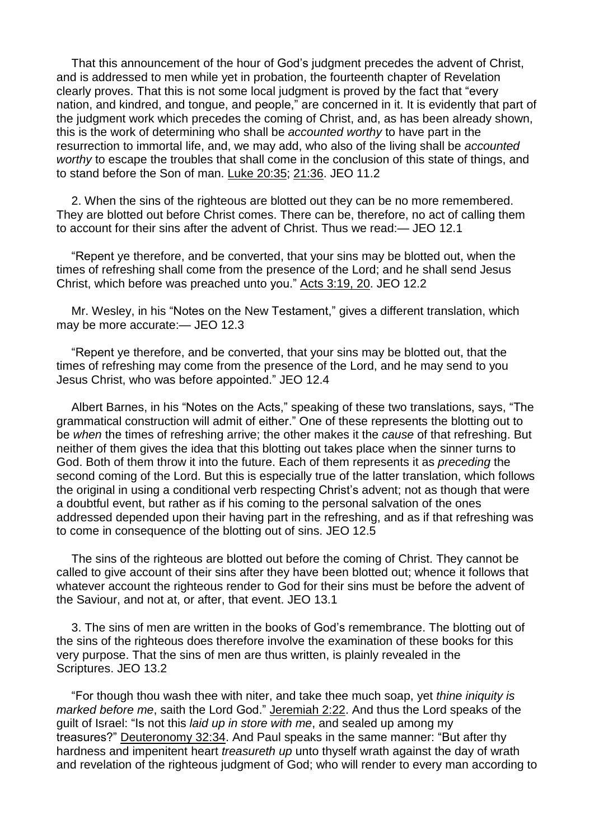That this announcement of the hour of God's judgment precedes the advent of Christ, and is addressed to men while yet in probation, the fourteenth chapter of Revelation clearly proves. That this is not some local judgment is proved by the fact that "every nation, and kindred, and tongue, and people," are concerned in it. It is evidently that part of the judgment work which precedes the coming of Christ, and, as has been already shown, this is the work of determining who shall be *accounted worthy* to have part in the resurrection to immortal life, and, we may add, who also of the living shall be *accounted worthy* to escape the troubles that shall come in the conclusion of this state of things, and to stand before the Son of man. Luke [20:35;](https://m.egwwritings.org/en/book/1965.52666#52666) [21:36.](https://m.egwwritings.org/en/book/1965.52763#52763) JEO 11.2

2. When the sins of the righteous are blotted out they can be no more remembered. They are blotted out before Christ comes. There can be, therefore, no act of calling them to account for their sins after the advent of Christ. Thus we read:— JEO 12.1

"Repent ye therefore, and be converted, that your sins may be blotted out, when the times of refreshing shall come from the presence of the Lord; and he shall send Jesus Christ, which before was preached unto you." Acts [3:19,](https://m.egwwritings.org/en/book/1965.55098#55098) 20. JEO 12.2

Mr. Wesley, in his "Notes on the New Testament," gives a different translation, which may be more accurate:— JEO 12.3

"Repent ye therefore, and be converted, that your sins may be blotted out, that the times of refreshing may come from the presence of the Lord, and he may send to you Jesus Christ, who was before appointed." JEO 12.4

Albert Barnes, in his "Notes on the Acts," speaking of these two translations, says, "The grammatical construction will admit of either." One of these represents the blotting out to be *when* the times of refreshing arrive; the other makes it the *cause* of that refreshing. But neither of them gives the idea that this blotting out takes place when the sinner turns to God. Both of them throw it into the future. Each of them represents it as *preceding* the second coming of the Lord. But this is especially true of the latter translation, which follows the original in using a conditional verb respecting Christ's advent; not as though that were a doubtful event, but rather as if his coming to the personal salvation of the ones addressed depended upon their having part in the refreshing, and as if that refreshing was to come in consequence of the blotting out of sins. JEO 12.5

The sins of the righteous are blotted out before the coming of Christ. They cannot be called to give account of their sins after they have been blotted out; whence it follows that whatever account the righteous render to God for their sins must be before the advent of the Saviour, and not at, or after, that event. JEO 13.1

3. The sins of men are written in the books of God's remembrance. The blotting out of the sins of the righteous does therefore involve the examination of these books for this very purpose. That the sins of men are thus written, is plainly revealed in the Scriptures. JEO 13.2

"For though thou wash thee with niter, and take thee much soap, yet *thine iniquity is marked before me*, saith the Lord God." [Jeremiah](https://m.egwwritings.org/en/book/1965.38748#38748) 2:22. And thus the Lord speaks of the guilt of Israel: "Is not this *laid up in store with me*, and sealed up among my treasures?" [Deuteronomy](https://m.egwwritings.org/en/book/1965.11777#11777) 32:34. And Paul speaks in the same manner: "But after thy hardness and impenitent heart *treasureth up* unto thyself wrath against the day of wrath and revelation of the righteous judgment of God; who will render to every man according to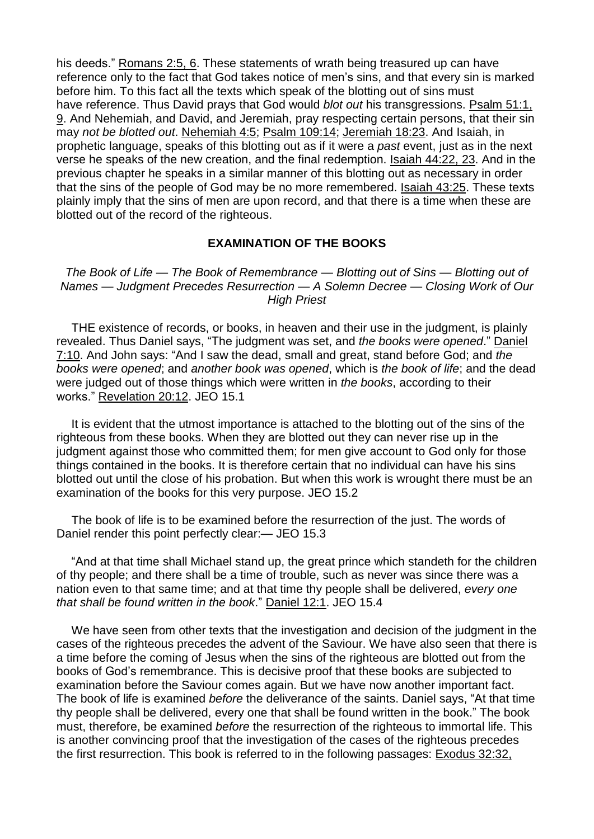his deeds." [Romans](https://m.egwwritings.org/en/book/1965.57030#57030) 2:5, 6. These statements of wrath being treasured up can have reference only to the fact that God takes notice of men's sins, and that every sin is marked before him. To this fact all the texts which speak of the blotting out of sins must have reference. Thus David prays that God would *blot out* his transgressions. [Psalm](https://m.egwwritings.org/en/book/1965.29935#29935) 51:1, [9.](https://m.egwwritings.org/en/book/1965.29935#29935) And Nehemiah, and David, and Jeremiah, pray respecting certain persons, that their sin may *not be blotted out*. [Nehemiah](https://m.egwwritings.org/en/book/1965.25164#25164) 4:5; Psalm [109:14;](https://m.egwwritings.org/en/book/1965.32147#32147) [Jeremiah](https://m.egwwritings.org/en/book/1965.39604#39604) 18:23. And Isaiah, in prophetic language, speaks of this blotting out as if it were a *past* event, just as in the next verse he speaks of the new creation, and the final redemption. Isaiah [44:22,](https://m.egwwritings.org/en/book/1965.37859#37859) 23. And in the previous chapter he speaks in a similar manner of this blotting out as necessary in order that the sins of the people of God may be no more remembered. [Isaiah](https://m.egwwritings.org/en/book/1965.37808#37808) 43:25. These texts plainly imply that the sins of men are upon record, and that there is a time when these are blotted out of the record of the righteous.

## **EXAMINATION OF THE BOOKS**

*The Book of Life — The Book of Remembrance — Blotting out of Sins — Blotting out of Names — Judgment Precedes Resurrection — A Solemn Decree — Closing Work of Our High Priest*

THE existence of records, or books, in heaven and their use in the judgment, is plainly revealed. Thus Daniel says, "The judgment was set, and *the books were opened*." [Daniel](https://m.egwwritings.org/en/book/1965.44773#44773) [7:10.](https://m.egwwritings.org/en/book/1965.44773#44773) And John says: "And I saw the dead, small and great, stand before God; and *the books were opened*; and *another book was opened*, which is *the book of life*; and the dead were judged out of those things which were written in *the books*, according to their works." [Revelation](https://m.egwwritings.org/en/book/1965.63356#63356) 20:12. JEO 15.1

It is evident that the utmost importance is attached to the blotting out of the sins of the righteous from these books. When they are blotted out they can never rise up in the judgment against those who committed them; for men give account to God only for those things contained in the books. It is therefore certain that no individual can have his sins blotted out until the close of his probation. But when this work is wrought there must be an examination of the books for this very purpose. JEO 15.2

The book of life is to be examined before the resurrection of the just. The words of Daniel render this point perfectly clear:— JEO 15.3

"And at that time shall Michael stand up, the great prince which standeth for the children of thy people; and there shall be a time of trouble, such as never was since there was a nation even to that same time; and at that time thy people shall be delivered, *every one that shall be found written in the book*." [Daniel](https://m.egwwritings.org/en/book/1965.45056#45056) 12:1. JEO 15.4

We have seen from other texts that the investigation and decision of the judgment in the cases of the righteous precedes the advent of the Saviour. We have also seen that there is a time before the coming of Jesus when the sins of the righteous are blotted out from the books of God's remembrance. This is decisive proof that these books are subjected to examination before the Saviour comes again. But we have now another important fact. The book of life is examined *before* the deliverance of the saints. Daniel says, "At that time thy people shall be delivered, every one that shall be found written in the book." The book must, therefore, be examined *before* the resurrection of the righteous to immortal life. This is another convincing proof that the investigation of the cases of the righteous precedes the first resurrection. This book is referred to in the following passages: [Exodus](https://m.egwwritings.org/en/book/1965.5027#5027) 32:32,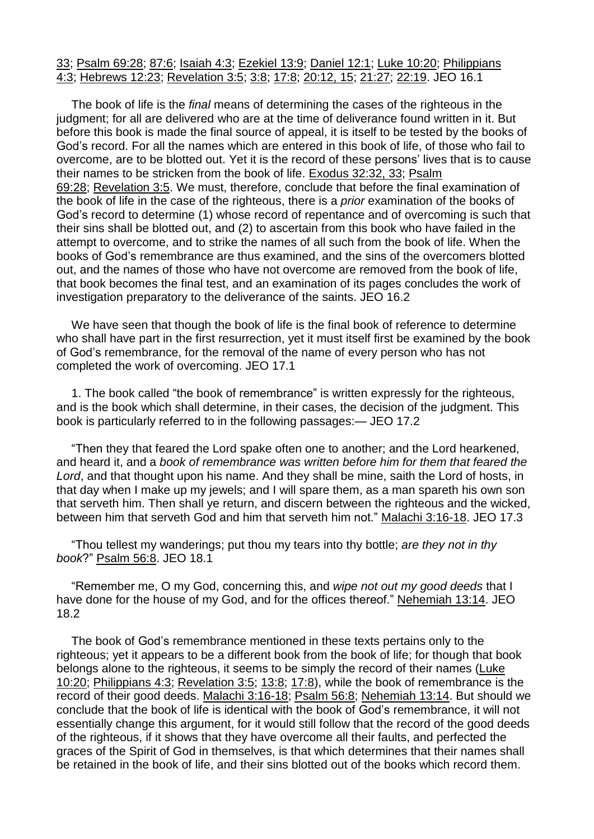## [33;](https://m.egwwritings.org/en/book/1965.5027#5027) [Psalm](https://m.egwwritings.org/en/book/1965.30495#30495) 69:28; [87:6;](https://m.egwwritings.org/en/book/1965.31201#31201) [Isaiah](https://m.egwwritings.org/en/book/1965.36181#36181) 4:3; [Ezekiel](https://m.egwwritings.org/en/book/1965.42278#42278) 13:9; [Daniel](https://m.egwwritings.org/en/book/1965.45056#45056) 12:1; Luke [10:20;](https://m.egwwritings.org/en/book/1965.51794#51794) [Philippians](https://m.egwwritings.org/en/book/1965.60050#60050) [4:3;](https://m.egwwritings.org/en/book/1965.60050#60050) [Hebrews](https://m.egwwritings.org/en/book/1965.61676#61676) 12:23; [Revelation](https://m.egwwritings.org/en/book/1965.62741#62741) 3:5; [3:8;](https://m.egwwritings.org/en/book/1965.62747#62747) [17:8;](https://m.egwwritings.org/en/book/1965.63219#63219) [20:12,](https://m.egwwritings.org/en/book/1965.63356#63356) 15; [21:27;](https://m.egwwritings.org/en/book/1965.63417#63417) [22:19.](https://m.egwwritings.org/en/book/1965.63456#63456) JEO 16.1

The book of life is the *final* means of determining the cases of the righteous in the judgment; for all are delivered who are at the time of deliverance found written in it. But before this book is made the final source of appeal, it is itself to be tested by the books of God's record. For all the names which are entered in this book of life, of those who fail to overcome, are to be blotted out. Yet it is the record of these persons' lives that is to cause their names to be stricken from the book of life. [Exodus](https://m.egwwritings.org/en/book/1965.5027#5027) 32:32, 33; [Psalm](https://m.egwwritings.org/en/book/1965.30495#30495) [69:28;](https://m.egwwritings.org/en/book/1965.30495#30495) [Revelation](https://m.egwwritings.org/en/book/1965.62741#62741) 3:5. We must, therefore, conclude that before the final examination of the book of life in the case of the righteous, there is a *prior* examination of the books of God's record to determine (1) whose record of repentance and of overcoming is such that their sins shall be blotted out, and (2) to ascertain from this book who have failed in the attempt to overcome, and to strike the names of all such from the book of life. When the books of God's remembrance are thus examined, and the sins of the overcomers blotted out, and the names of those who have not overcome are removed from the book of life, that book becomes the final test, and an examination of its pages concludes the work of investigation preparatory to the deliverance of the saints. JEO 16.2

We have seen that though the book of life is the final book of reference to determine who shall have part in the first resurrection, yet it must itself first be examined by the book of God's remembrance, for the removal of the name of every person who has not completed the work of overcoming. JEO 17.1

1. The book called "the book of remembrance" is written expressly for the righteous, and is the book which shall determine, in their cases, the decision of the judgment. This book is particularly referred to in the following passages:— JEO 17.2

"Then they that feared the Lord spake often one to another; and the Lord hearkened, and heard it, and a *book of remembrance was written before him for them that feared the Lord*, and that thought upon his name. And they shall be mine, saith the Lord of hosts, in that day when I make up my jewels; and I will spare them, as a man spareth his own son that serveth him. Then shall ye return, and discern between the righteous and the wicked, between him that serveth God and him that serveth him not." Malachi [3:16-18.](https://m.egwwritings.org/en/book/1965.47242#47242) JEO 17.3

"Thou tellest my wanderings; put thou my tears into thy bottle; *are they not in thy book*?" [Psalm](https://m.egwwritings.org/en/book/1965.30082#30082) 56:8. JEO 18.1

"Remember me, O my God, concerning this, and *wipe not out my good deeds* that I have done for the house of my God, and for the offices thereof." [Nehemiah](https://m.egwwritings.org/en/book/1965.25815#25815) 13:14. JEO 18.2

The book of God's remembrance mentioned in these texts pertains only to the righteous; yet it appears to be a different book from the book of life; for though that book belongs alone to the righteous, it seems to be simply the record of their names [\(Luke](https://m.egwwritings.org/en/book/1965.51794#51794) [10:20;](https://m.egwwritings.org/en/book/1965.51794#51794) [Philippians](https://m.egwwritings.org/en/book/1965.60050#60050) 4:3; [Revelation](https://m.egwwritings.org/en/book/1965.62741#62741) 3:5; [13:8;](https://m.egwwritings.org/en/book/1965.63081#63081) [17:8\)](https://m.egwwritings.org/en/book/1965.63219#63219), while the book of remembrance is the record of their good deeds. Malachi [3:16-18;](https://m.egwwritings.org/en/book/1965.47242#47242) [Psalm](https://m.egwwritings.org/en/book/1965.30082#30082) 56:8; [Nehemiah](https://m.egwwritings.org/en/book/1965.25815#25815) 13:14. But should we conclude that the book of life is identical with the book of God's remembrance, it will not essentially change this argument, for it would still follow that the record of the good deeds of the righteous, if it shows that they have overcome all their faults, and perfected the graces of the Spirit of God in themselves, is that which determines that their names shall be retained in the book of life, and their sins blotted out of the books which record them.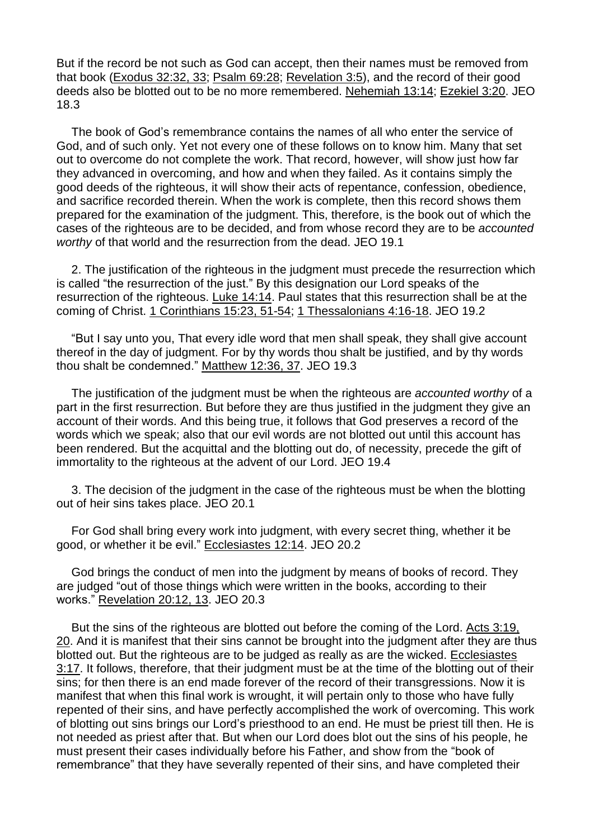But if the record be not such as God can accept, then their names must be removed from that book [\(Exodus](https://m.egwwritings.org/en/book/1965.5027#5027) 32:32, 33; [Psalm](https://m.egwwritings.org/en/book/1965.30495#30495) 69:28; [Revelation](https://m.egwwritings.org/en/book/1965.62741#62741) 3:5), and the record of their good deeds also be blotted out to be no more remembered. [Nehemiah](https://m.egwwritings.org/en/book/1965.25815#25815) 13:14; [Ezekiel](https://m.egwwritings.org/en/book/1965.41878#41878) 3:20. JEO 18.3

The book of God's remembrance contains the names of all who enter the service of God, and of such only. Yet not every one of these follows on to know him. Many that set out to overcome do not complete the work. That record, however, will show just how far they advanced in overcoming, and how and when they failed. As it contains simply the good deeds of the righteous, it will show their acts of repentance, confession, obedience, and sacrifice recorded therein. When the work is complete, then this record shows them prepared for the examination of the judgment. This, therefore, is the book out of which the cases of the righteous are to be decided, and from whose record they are to be *accounted worthy* of that world and the resurrection from the dead. JEO 19.1

2. The justification of the righteous in the judgment must precede the resurrection which is called "the resurrection of the just." By this designation our Lord speaks of the resurrection of the righteous. Luke [14:14.](https://m.egwwritings.org/en/book/1965.52166#52166) Paul states that this resurrection shall be at the coming of Christ. 1 [Corinthians](https://m.egwwritings.org/en/book/1965.58608#58608) 15:23, 51-54; 1 [Thessalonians](https://m.egwwritings.org/en/book/1965.60408#60408) 4:16-18. JEO 19.2

"But I say unto you, That every idle word that men shall speak, they shall give account thereof in the day of judgment. For by thy words thou shalt be justified, and by thy words thou shalt be condemned." [Matthew](https://m.egwwritings.org/en/book/1965.48034#48034) 12:36, 37. JEO 19.3

The justification of the judgment must be when the righteous are *accounted worthy* of a part in the first resurrection. But before they are thus justified in the judgment they give an account of their words. And this being true, it follows that God preserves a record of the words which we speak; also that our evil words are not blotted out until this account has been rendered. But the acquittal and the blotting out do, of necessity, precede the gift of immortality to the righteous at the advent of our Lord. JEO 19.4

3. The decision of the judgment in the case of the righteous must be when the blotting out of heir sins takes place. JEO 20.1

For God shall bring every work into judgment, with every secret thing, whether it be good, or whether it be evil." [Ecclesiastes](https://m.egwwritings.org/en/book/1965.35769#35769) 12:14. JEO 20.2

God brings the conduct of men into the judgment by means of books of record. They are judged "out of those things which were written in the books, according to their works." [Revelation](https://m.egwwritings.org/en/book/1965.63356#63356) 20:12, 13. JEO 20.3

But the sins of the righteous are blotted out before the coming of the Lord. Acts [3:19,](https://m.egwwritings.org/en/book/1965.55098#55098) [20.](https://m.egwwritings.org/en/book/1965.55098#55098) And it is manifest that their sins cannot be brought into the judgment after they are thus blotted out. But the righteous are to be judged as really as are the wicked. [Ecclesiastes](https://m.egwwritings.org/en/book/1965.35438#35438) [3:17.](https://m.egwwritings.org/en/book/1965.35438#35438) It follows, therefore, that their judgment must be at the time of the blotting out of their sins; for then there is an end made forever of the record of their transgressions. Now it is manifest that when this final work is wrought, it will pertain only to those who have fully repented of their sins, and have perfectly accomplished the work of overcoming. This work of blotting out sins brings our Lord's priesthood to an end. He must be priest till then. He is not needed as priest after that. But when our Lord does blot out the sins of his people, he must present their cases individually before his Father, and show from the "book of remembrance" that they have severally repented of their sins, and have completed their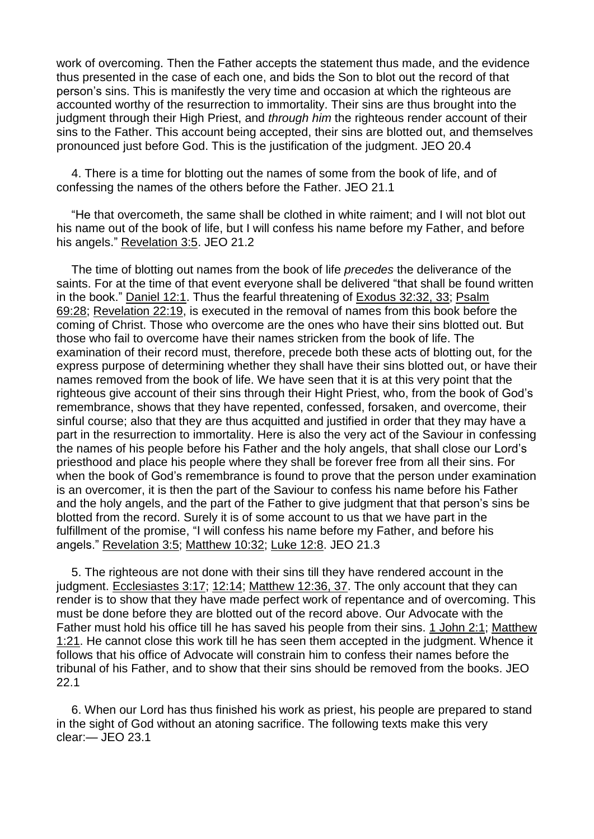work of overcoming. Then the Father accepts the statement thus made, and the evidence thus presented in the case of each one, and bids the Son to blot out the record of that person's sins. This is manifestly the very time and occasion at which the righteous are accounted worthy of the resurrection to immortality. Their sins are thus brought into the judgment through their High Priest, and *through him* the righteous render account of their sins to the Father. This account being accepted, their sins are blotted out, and themselves pronounced just before God. This is the justification of the judgment. JEO 20.4

4. There is a time for blotting out the names of some from the book of life, and of confessing the names of the others before the Father. JEO 21.1

"He that overcometh, the same shall be clothed in white raiment; and I will not blot out his name out of the book of life, but I will confess his name before my Father, and before his angels." [Revelation](https://m.egwwritings.org/en/book/1965.62741#62741) 3:5. JEO 21.2

The time of blotting out names from the book of life *precedes* the deliverance of the saints. For at the time of that event everyone shall be delivered "that shall be found written in the book." [Daniel](https://m.egwwritings.org/en/book/1965.45056#45056) 12:1. Thus the fearful threatening of [Exodus](https://m.egwwritings.org/en/book/1965.5027#5027) 32:32, 33; [Psalm](https://m.egwwritings.org/en/book/1965.30495#30495) [69:28;](https://m.egwwritings.org/en/book/1965.30495#30495) [Revelation](https://m.egwwritings.org/en/book/1965.63456#63456) 22:19, is executed in the removal of names from this book before the coming of Christ. Those who overcome are the ones who have their sins blotted out. But those who fail to overcome have their names stricken from the book of life. The examination of their record must, therefore, precede both these acts of blotting out, for the express purpose of determining whether they shall have their sins blotted out, or have their names removed from the book of life. We have seen that it is at this very point that the righteous give account of their sins through their Hight Priest, who, from the book of God's remembrance, shows that they have repented, confessed, forsaken, and overcome, their sinful course; also that they are thus acquitted and justified in order that they may have a part in the resurrection to immortality. Here is also the very act of the Saviour in confessing the names of his people before his Father and the holy angels, that shall close our Lord's priesthood and place his people where they shall be forever free from all their sins. For when the book of God's remembrance is found to prove that the person under examination is an overcomer, it is then the part of the Saviour to confess his name before his Father and the holy angels, and the part of the Father to give judgment that that person's sins be blotted from the record. Surely it is of some account to us that we have part in the fulfillment of the promise, "I will confess his name before my Father, and before his angels." [Revelation](https://m.egwwritings.org/en/book/1965.62741#62741) 3:5; [Matthew](https://m.egwwritings.org/en/book/1965.47880#47880) 10:32; [Luke](https://m.egwwritings.org/en/book/1965.51964#51964) 12:8. JEO 21.3

5. The righteous are not done with their sins till they have rendered account in the judgment. [Ecclesiastes](https://m.egwwritings.org/en/book/1965.35438#35438) 3:17; [12:14;](https://m.egwwritings.org/en/book/1965.35769#35769) [Matthew](https://m.egwwritings.org/en/book/1965.48034#48034) 12:36, 37. The only account that they can render is to show that they have made perfect work of repentance and of overcoming. This must be done before they are blotted out of the record above. Our Advocate with the Father must hold his office till he has saved his people from their sins. 1 [John](https://m.egwwritings.org/en/book/1965.62328#62328) 2:1; [Matthew](https://m.egwwritings.org/en/book/1965.47303#47303) [1:21.](https://m.egwwritings.org/en/book/1965.47303#47303) He cannot close this work till he has seen them accepted in the judgment. Whence it follows that his office of Advocate will constrain him to confess their names before the tribunal of his Father, and to show that their sins should be removed from the books. JEO 22.1

6. When our Lord has thus finished his work as priest, his people are prepared to stand in the sight of God without an atoning sacrifice. The following texts make this very clear:— JEO 23.1